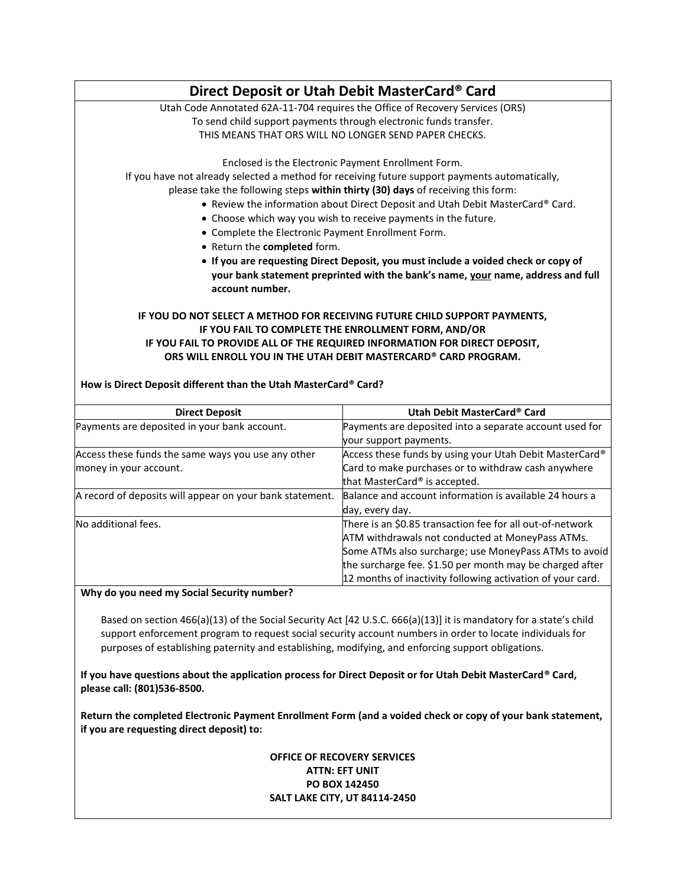|                                                                                                                              | Direct Deposit or Utah Debit MasterCard® Card                                                                                                                                                                                                                                      |
|------------------------------------------------------------------------------------------------------------------------------|------------------------------------------------------------------------------------------------------------------------------------------------------------------------------------------------------------------------------------------------------------------------------------|
|                                                                                                                              | Utah Code Annotated 62A-11-704 requires the Office of Recovery Services (ORS)                                                                                                                                                                                                      |
|                                                                                                                              | To send child support payments through electronic funds transfer.                                                                                                                                                                                                                  |
|                                                                                                                              | THIS MEANS THAT ORS WILL NO LONGER SEND PAPER CHECKS.                                                                                                                                                                                                                              |
|                                                                                                                              | Enclosed is the Electronic Payment Enrollment Form.                                                                                                                                                                                                                                |
|                                                                                                                              | If you have not already selected a method for receiving future support payments automatically,                                                                                                                                                                                     |
|                                                                                                                              | please take the following steps within thirty (30) days of receiving this form:                                                                                                                                                                                                    |
|                                                                                                                              | • Review the information about Direct Deposit and Utah Debit MasterCard® Card.                                                                                                                                                                                                     |
|                                                                                                                              | • Choose which way you wish to receive payments in the future.                                                                                                                                                                                                                     |
| • Complete the Electronic Payment Enrollment Form.                                                                           |                                                                                                                                                                                                                                                                                    |
| • Return the completed form.                                                                                                 |                                                                                                                                                                                                                                                                                    |
|                                                                                                                              | • If you are requesting Direct Deposit, you must include a voided check or copy of                                                                                                                                                                                                 |
|                                                                                                                              | your bank statement preprinted with the bank's name, your name, address and full                                                                                                                                                                                                   |
|                                                                                                                              |                                                                                                                                                                                                                                                                                    |
| account number.                                                                                                              |                                                                                                                                                                                                                                                                                    |
| How is Direct Deposit different than the Utah MasterCard® Card?                                                              | IF YOU DO NOT SELECT A METHOD FOR RECEIVING FUTURE CHILD SUPPORT PAYMENTS,<br>IF YOU FAIL TO COMPLETE THE ENROLLMENT FORM, AND/OR<br>IF YOU FAIL TO PROVIDE ALL OF THE REQUIRED INFORMATION FOR DIRECT DEPOSIT,<br>ORS WILL ENROLL YOU IN THE UTAH DEBIT MASTERCARD® CARD PROGRAM. |
| <b>Direct Deposit</b>                                                                                                        | Utah Debit MasterCard® Card                                                                                                                                                                                                                                                        |
|                                                                                                                              | Payments are deposited into a separate account used for                                                                                                                                                                                                                            |
|                                                                                                                              | your support payments.                                                                                                                                                                                                                                                             |
|                                                                                                                              |                                                                                                                                                                                                                                                                                    |
|                                                                                                                              | Card to make purchases or to withdraw cash anywhere                                                                                                                                                                                                                                |
| Payments are deposited in your bank account.<br>Access these funds the same ways you use any other<br>money in your account. | Access these funds by using your Utah Debit MasterCard®<br>that MasterCard® is accepted.                                                                                                                                                                                           |
| A record of deposits will appear on your bank statement.                                                                     | Balance and account information is available 24 hours a                                                                                                                                                                                                                            |

No additional fees. There is an \$0.85 transaction fee for all out-of-network

**Why do you need my Social Security number?**

Based on section 466(a)(13) of the Social Security Act [42 U.S.C. 666(a)(13)] it is mandatory for a state's child support enforcement program to request social security account numbers in order to locate individuals for purposes of establishing paternity and establishing, modifying, and enforcing support obligations.

ATM withdrawals not conducted at MoneyPass ATMs. Some ATMs also surcharge; use MoneyPass ATMs to avoid the surcharge fee. \$1.50 per month may be charged after 12 months of inactivity following activation of your card.

**If you have questions about the application process for Direct Deposit or for Utah Debit MasterCard® Card, please call: (801)536-8500.**

**Return the completed Electronic Payment Enrollment Form (and a voided check or copy of your bank statement, if you are requesting direct deposit) to:**

## **OFFICE OF RECOVERY SERVICES ATTN: EFT UNIT PO BOX 142450 SALT LAKE CITY, UT 84114-2450**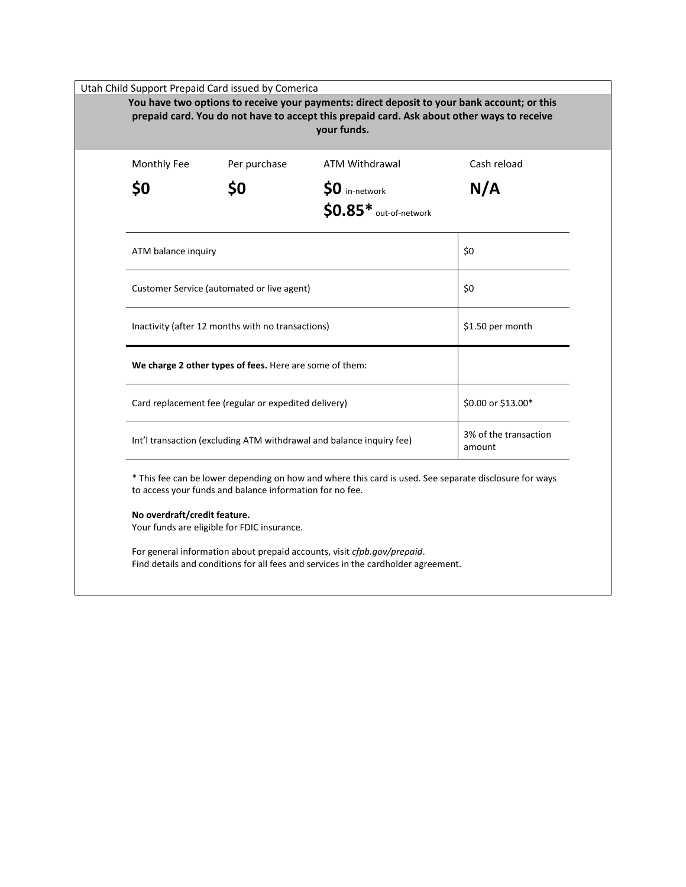| prepaid card. You do not have to accept this prepaid card. Ask about other ways to receive<br>your funds. |                                                          |                                                                                                        |                    |  |
|-----------------------------------------------------------------------------------------------------------|----------------------------------------------------------|--------------------------------------------------------------------------------------------------------|--------------------|--|
| Monthly Fee                                                                                               | Per purchase                                             | <b>ATM Withdrawal</b>                                                                                  | Cash reload        |  |
| \$0                                                                                                       | \$0                                                      | \$0 in-network                                                                                         | N/A                |  |
|                                                                                                           |                                                          | $$0.85*$ out-of-network                                                                                |                    |  |
| ATM balance inquiry                                                                                       |                                                          |                                                                                                        | \$0                |  |
| Customer Service (automated or live agent)                                                                |                                                          | \$0                                                                                                    |                    |  |
| Inactivity (after 12 months with no transactions)                                                         |                                                          | \$1.50 per month                                                                                       |                    |  |
|                                                                                                           | We charge 2 other types of fees. Here are some of them:  |                                                                                                        |                    |  |
|                                                                                                           | Card replacement fee (regular or expedited delivery)     |                                                                                                        | \$0.00 or \$13.00* |  |
| Int'l transaction (excluding ATM withdrawal and balance inquiry fee)                                      |                                                          | 3% of the transaction<br>amount                                                                        |                    |  |
|                                                                                                           | to access your funds and balance information for no fee. | * This fee can be lower depending on how and where this card is used. See separate disclosure for ways |                    |  |
| No overdraft/credit feature.                                                                              | Your funds are eligible for FDIC insurance.              |                                                                                                        |                    |  |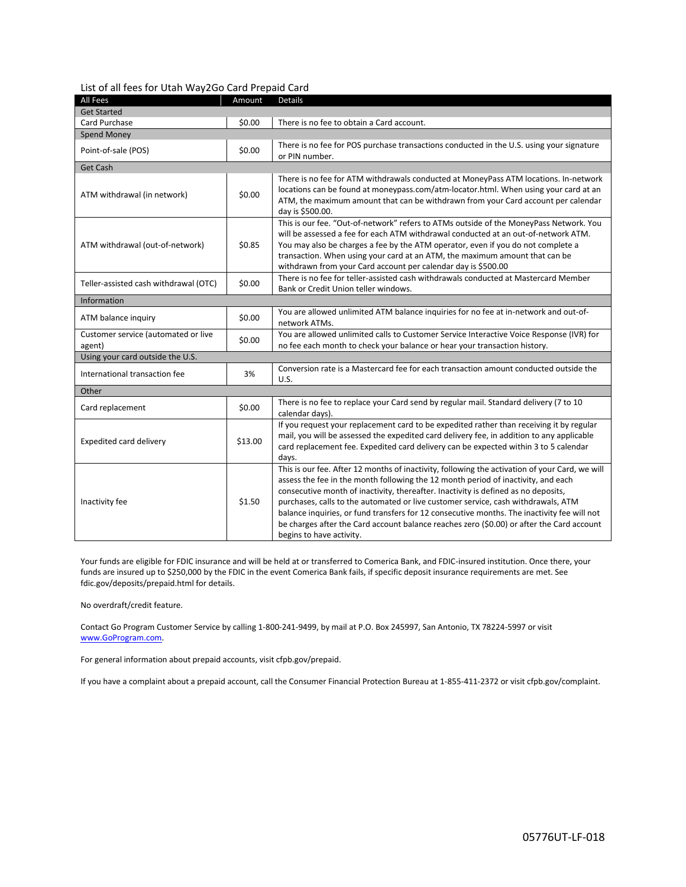| List of all fees for Utah Way2Go Card Prepaid Card |  |  |
|----------------------------------------------------|--|--|
|----------------------------------------------------|--|--|

| All Fees                                      | Amount  | <b>Details</b>                                                                                                                                                                                                                                                                                                                                                                                                                                                                                                                                                                         |  |  |  |  |
|-----------------------------------------------|---------|----------------------------------------------------------------------------------------------------------------------------------------------------------------------------------------------------------------------------------------------------------------------------------------------------------------------------------------------------------------------------------------------------------------------------------------------------------------------------------------------------------------------------------------------------------------------------------------|--|--|--|--|
| <b>Get Started</b>                            |         |                                                                                                                                                                                                                                                                                                                                                                                                                                                                                                                                                                                        |  |  |  |  |
| Card Purchase                                 | \$0.00  | There is no fee to obtain a Card account.                                                                                                                                                                                                                                                                                                                                                                                                                                                                                                                                              |  |  |  |  |
| <b>Spend Money</b>                            |         |                                                                                                                                                                                                                                                                                                                                                                                                                                                                                                                                                                                        |  |  |  |  |
| Point-of-sale (POS)                           | \$0.00  | There is no fee for POS purchase transactions conducted in the U.S. using your signature<br>or PIN number.                                                                                                                                                                                                                                                                                                                                                                                                                                                                             |  |  |  |  |
| Get Cash                                      |         |                                                                                                                                                                                                                                                                                                                                                                                                                                                                                                                                                                                        |  |  |  |  |
| ATM withdrawal (in network)                   | \$0.00  | There is no fee for ATM withdrawals conducted at MoneyPass ATM locations. In-network<br>locations can be found at moneypass.com/atm-locator.html. When using your card at an<br>ATM, the maximum amount that can be withdrawn from your Card account per calendar<br>day is \$500.00.                                                                                                                                                                                                                                                                                                  |  |  |  |  |
| ATM withdrawal (out-of-network)               | \$0.85  | This is our fee. "Out-of-network" refers to ATMs outside of the MoneyPass Network. You<br>will be assessed a fee for each ATM withdrawal conducted at an out-of-network ATM.<br>You may also be charges a fee by the ATM operator, even if you do not complete a<br>transaction. When using your card at an ATM, the maximum amount that can be<br>withdrawn from your Card account per calendar day is \$500.00                                                                                                                                                                       |  |  |  |  |
| Teller-assisted cash withdrawal (OTC)         | \$0.00  | There is no fee for teller-assisted cash withdrawals conducted at Mastercard Member<br>Bank or Credit Union teller windows.                                                                                                                                                                                                                                                                                                                                                                                                                                                            |  |  |  |  |
| Information                                   |         |                                                                                                                                                                                                                                                                                                                                                                                                                                                                                                                                                                                        |  |  |  |  |
| ATM balance inquiry                           | \$0.00  | You are allowed unlimited ATM balance inquiries for no fee at in-network and out-of-<br>network ATMs.                                                                                                                                                                                                                                                                                                                                                                                                                                                                                  |  |  |  |  |
| Customer service (automated or live<br>agent) | \$0.00  | You are allowed unlimited calls to Customer Service Interactive Voice Response (IVR) for<br>no fee each month to check your balance or hear your transaction history.                                                                                                                                                                                                                                                                                                                                                                                                                  |  |  |  |  |
| Using your card outside the U.S.              |         |                                                                                                                                                                                                                                                                                                                                                                                                                                                                                                                                                                                        |  |  |  |  |
| International transaction fee                 | 3%      | Conversion rate is a Mastercard fee for each transaction amount conducted outside the<br>U.S.                                                                                                                                                                                                                                                                                                                                                                                                                                                                                          |  |  |  |  |
| Other                                         |         |                                                                                                                                                                                                                                                                                                                                                                                                                                                                                                                                                                                        |  |  |  |  |
| Card replacement                              | \$0.00  | There is no fee to replace your Card send by regular mail. Standard delivery (7 to 10<br>calendar days).                                                                                                                                                                                                                                                                                                                                                                                                                                                                               |  |  |  |  |
| Expedited card delivery                       | \$13.00 | If you request your replacement card to be expedited rather than receiving it by regular<br>mail, you will be assessed the expedited card delivery fee, in addition to any applicable<br>card replacement fee. Expedited card delivery can be expected within 3 to 5 calendar<br>days.                                                                                                                                                                                                                                                                                                 |  |  |  |  |
| Inactivity fee                                | \$1.50  | This is our fee. After 12 months of inactivity, following the activation of your Card, we will<br>assess the fee in the month following the 12 month period of inactivity, and each<br>consecutive month of inactivity, thereafter. Inactivity is defined as no deposits,<br>purchases, calls to the automated or live customer service, cash withdrawals, ATM<br>balance inquiries, or fund transfers for 12 consecutive months. The inactivity fee will not<br>be charges after the Card account balance reaches zero (\$0.00) or after the Card account<br>begins to have activity. |  |  |  |  |

Your funds are eligible for FDIC insurance and will be held at or transferred to Comerica Bank, and FDIC-insured institution. Once there, your funds are insured up to \$250,000 by the FDIC in the event Comerica Bank fails, if specific deposit insurance requirements are met. See fdic.gov/deposits/prepaid.html for details.

No overdraft/credit feature.

Contact Go Program Customer Service by calling 1-800-241-9499, by mail at P.O. Box 245997, San Antonio, TX 78224-5997 or visit [www.GoProgram.com.](http://www.goprogram.com/)

For general information about prepaid accounts, visit cfpb.gov/prepaid.

If you have a complaint about a prepaid account, call the Consumer Financial Protection Bureau at 1-855-411-2372 or visit cfpb.gov/complaint.